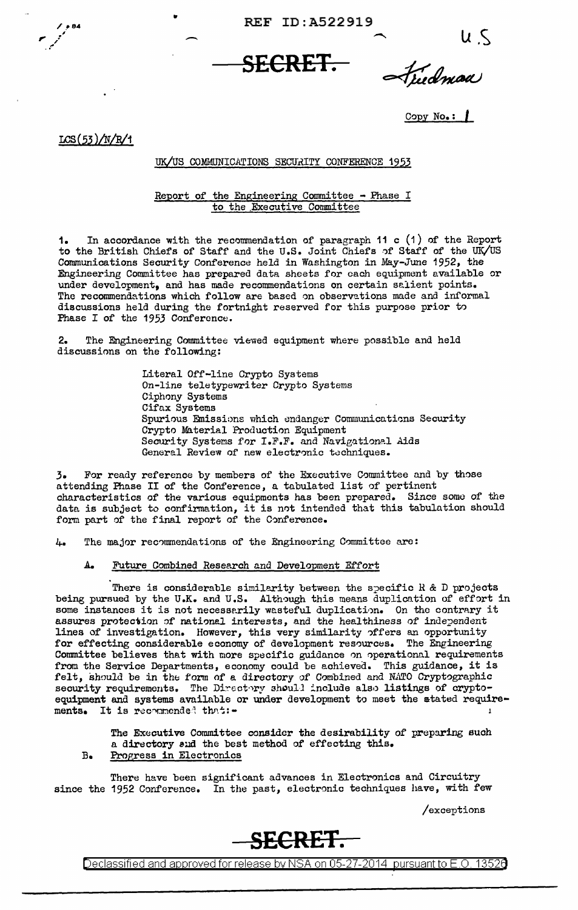REF ID: A522919

**SECRET.** 

Fudman

 $Copy No. :$ 

 $LCS(53)/N/R/1$ 

## UK/US COMMUNICATIONS SECURITY CONFERENCE 1953

# Report of the Engineering Committee - Phase I<br>to the Executive Committee

In accordance with the recommendation of paragraph 11 c  $(1)$  of the Report  $1$ to the British Chiefs of Staff and the U.S. Joint Chiefs of Staff of the UK/US Communications Security Conference held in Washington in May-June 1952, the Engineering Committee has prepared data sheets for each equipment available or under development, and has made recommendations on certain salient points. The recommendations which follow are based on observations made and informal discussions held during the fortnight reserved for this purpose prior to Phase I of the 1953 Conference.

The Engineering Committee viewed equipment where possible and held 2. discussions on the following:

> Literal Off-line Crypto Systems On-line teletypewriter Crypto Systems Ciphony Systems Cifax Systems Spurious Emissions which endanger Communications Security Crypto Material Production Equipment Security Systems for I.F.F. and Navigational Aids General Review of new electronic techniques.

For ready reference by members of the Executive Committee and by those 3. attending Phase II of the Conference, a tabulated list of pertinent<br>characteristics of the various equipments has been prepared. Since some of the data is subject to confirmation, it is not intended that this tabulation should<br>form part of the final report of the Conference.

The major recommendations of the Engineering Committee are:  $L_{\bullet}$ 

#### $A_{\bullet}$ Future Combined Research and Development Effort

There is considerable similarity between the specific  $R$  & D projects being pursued by the U.K. and U.S. Although this means duplication of effort in some instances it is not necessarily wasteful duplication. On the contrary it assures protection of national interests, and the healthiness of independent lines of investigation. However, this very similarity offers an opportunity<br>for effecting considerable economy of development resources. The Engineering<br>Committee believes that with more specific guidance on operational re from the Service Departments, economy could be achieved. This guidance, it is felt, should be in the form of a directory of Combined and NATO Cryptographic security requirements. The Directory should include also listings of cryptoequipment and systems available or under development to meet the atated require-It is recommended that :ments.

The Executive Committee consider the desirability of preparing such a directory and the best method of effecting this. Progress in Electronics  $B<sub>o</sub>$ 

There have been significant advances in Electronics and Circuitry since the 1952 Conference. In the past, electronic techniques have, with few

/exceptions



Declassified and approved for release by NSA on 05-27-2014 pursuant to E.O. 13526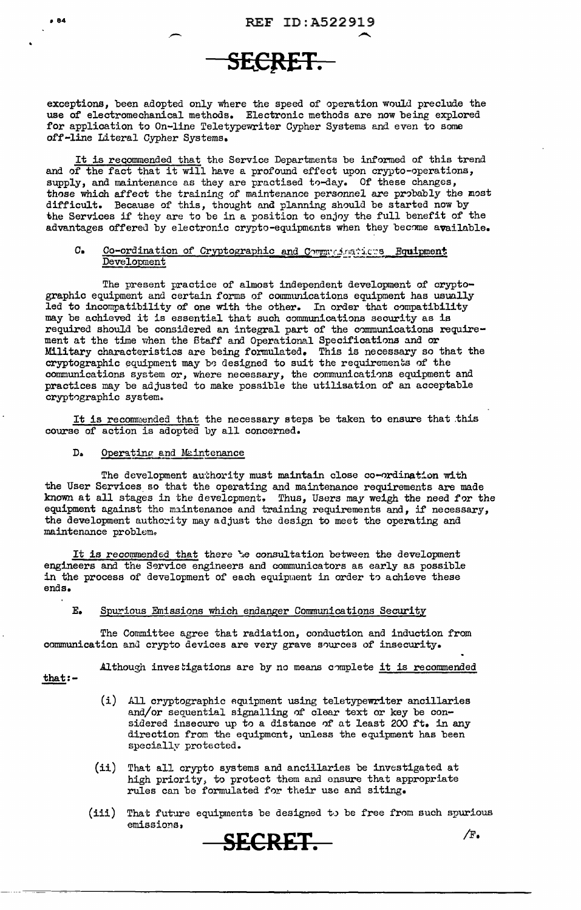

exceptions, been adopted only where the speed of operation would preclude the use of electromechanical methods. Electronic methods are now being explored for application to On-line Teletypewriter Cypher Systems and even to some off-line Literal Cypher Systems.

It is recommended that the Service Departments be informed of this trend and of the fact that it will have a profound effect upon crypto-operations, supply, and maintenance as they are practised to-day. Of these changes, those which affect the training of maintenance personnel are probably the most difficult. Because of this, thought and planning should be started now by the Services if they are to be in a position to enjoy the full benefit of the advantages offered by electronic crypto-equipments when they become available.

## C. Co-ordination of Cryptographic and Communications Equipment Development

The present practice of almost independent development of cryptographic equipment and certain forms of communications equipment has usually led to incompatibility of one with the other. In order that compatibility may be achieved it is essential that such communications security as is required should be considered an integral part of the communications requirement at the time when the Staff and Operational Specifications and or Military characteristics are being formulated. This is necessary so that the cryptographic equipment may be designed to suit the requirements of the communications system or, where necessary, the communications equipment and practices may be adjusted to make possible the utilisation of an acceptable cryptographic system.

It is recommended that the necessary steps be taken to ensure that this course of action is adopted by all concerned.

#### $D<sub>a</sub>$ Operating and Maintenance

.-

The development authority must maintain close co-ordination with the User Services so that the operating and maintenance requirements are made known at all stages in the development, Thus, Users may weigh the need for the equipment against the maintenance and training requirements and, if necessary, the development authority may adjust the design to meet the operating and maintenance problem.

It is recommended that there *e* consultation between the development engineers and the Service engineers and communicators as early as possible in the process of development of each equipment in order to achieve these ends.

## E. Spurious Emissions which endanger Communications Security

The Committee agree that radiation, conduction and induction from communication and crypto devices are very grave sources of insecurity.

Although investigations are by no means complete it is recommended

 $that:-$ 

- (i) All cryptographic equipment using teletypewriter ancillaries and/or sequential signalling of clear text or key be considered insecure up to a distance of at least 200 ft. in any direction from the equipment, unless the equipment has been specially protected.
- (ii) That all crypto systems and ancillaries be investigated at high priority, to protect them and ensure that appropriate rules can be formulated for their use and siting.
- (iii) That future equipments be designed to be free from such spurious emissions,

**SECRET.** /F.